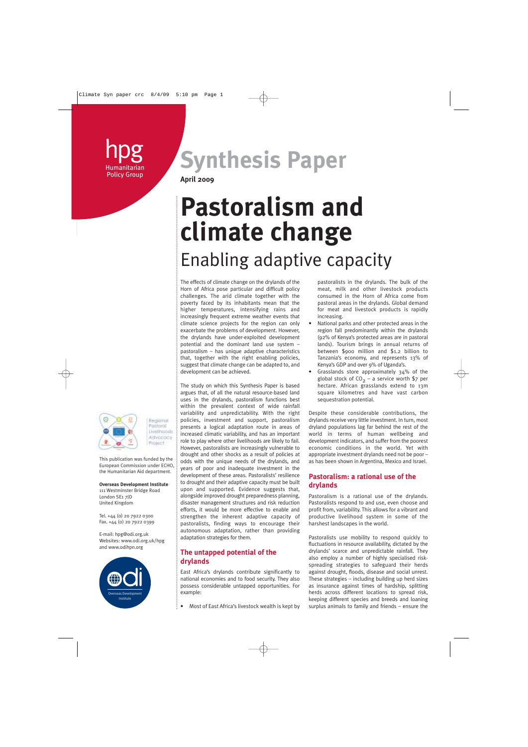# Humanitarian

## **Synthesis Paper** Policy Group

Policy Group **April 2009**

### **Pastoralism and climate change**  Enabling adaptive capacity

The effects of climate change on the drylands of the Horn of Africa pose particular and difficult policy challenges. The arid climate together with the poverty faced by its inhabitants mean that the higher temperatures, intensifying rains and increasingly frequent extreme weather events that climate science projects for the region can only exacerbate the problems of development. However, the drylands have under-exploited development potential and the dominant land use system – pastoralism – has unique adaptive characteristics that, together with the right enabling policies, suggest that climate change can be adapted to, and development can be achieved.

The study on which this Synthesis Paper is based argues that, of all the natural resource-based land uses in the drylands, pastoralism functions best within the prevalent context of wide rainfall variability and unpredictability. With the right policies, investment and support, pastoralism presents a logical adaptation route in areas of increased climatic variability, and has an important role to play where other livelihoods are likely to fail. However, pastoralists are increasingly vulnerable to drought and other shocks as a result of policies at odds with the unique needs of the drylands, and years of poor and inadequate investment in the development of these areas. Pastoralists' resilience to drought and their adaptive capacity must be built upon and supported. Evidence suggests that, alongside improved drought preparedness planning, disaster management structures and risk reduction efforts, it would be more effective to enable and strengthen the inherent adaptive capacity of pastoralists, finding ways to encourage their autonomous adaptation, rather than providing adaptation strategies for them.

#### **The untapped potential of the drylands**

East Africa's drylands contribute significantly to national economies and to food security. They also possess considerable untapped opportunities. For example:

• Most of East Africa's livestock wealth is kept by

pastoralists in the drylands. The bulk of the meat, milk and other livestock products consumed in the Horn of Africa come from pastoral areas in the drylands. Global demand for meat and livestock products is rapidly increasing.

- National parks and other protected areas in the region fall predominantly within the drylands (92% of Kenya's protected areas are in pastoral lands). Tourism brings in annual returns of between \$900 million and \$1.2 billion to Tanzania's economy, and represents 13% of Kenya's GDP and over 9% of Uganda's.
- Grasslands store approximately 34% of the global stock of  $CO<sub>2</sub> - a$  service worth \$7 per hectare. African grasslands extend to 13m square kilometres and have vast carbon sequestration potential.

Despite these considerable contributions, the drylands receive very little investment. In turn, most dryland populations lag far behind the rest of the world in terms of human wellbeing and development indicators, and suffer from the poorest economic conditions in the world. Yet with appropriate investment drylands need not be poor – as has been shown in Argentina, Mexico and Israel.

#### **Pastoralism: a rational use of the drylands**

Pastoralism is a rational use of the drylands. Pastoralists respond to and use, even choose and profit from, variability. This allows for a vibrant and productive livelihood system in some of the harshest landscapes in the world.

Pastoralists use mobility to respond quickly to fluctuations in resource availability, dictated by the drylands' scarce and unpredictable rainfall. They also employ a number of highly specialised riskspreading strategies to safeguard their herds against drought, floods, disease and social unrest. These strategies – including building up herd sizes as insurance against times of hardship, splitting herds across different locations to spread risk, keeping different species and breeds and loaning surplus animals to family and friends – ensure the



This publication was funded by the European Commission under ECHO, the Humanitarian Aid department.

**Overseas Development Institute** 111 Westminster Bridge Road London SE1 7JD

Tel. +44 (0) 20 7922 0300 Fax. +44 (0) 20 7922 0399

United Kingdom

E-mail: hpg@odi.org.uk Websites: www.odi.org.uk/hpg and www.odihpn.org

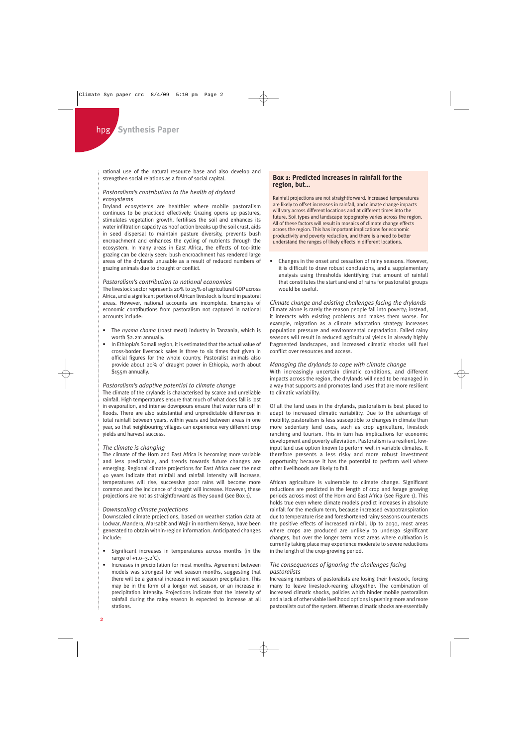rational use of the natural resource base and also develop and strengthen social relations as a form of social capital.

#### *Pastoralism's contribution to the health of dryland ecosystems*

Dryland ecosystems are healthier where mobile pastoralism continues to be practiced effectively. Grazing opens up pastures, stimulates vegetation growth, fertilises the soil and enhances its water infiltration capacity as hoof action breaks up the soil crust, aids in seed dispersal to maintain pasture diversity, prevents bush encroachment and enhances the cycling of nutrients through the ecosystem. In many areas in East Africa, the effects of too-little grazing can be clearly seen: bush encroachment has rendered large areas of the drylands unusable as a result of reduced numbers of grazing animals due to drought or conflict.

#### *Pastoralism's contribution to national economies*

The livestock sector represents 20% to 25% of agricultural GDP across Africa, and a significant portion of African livestock is found in pastoral areas. However, national accounts are incomplete. Examples of economic contributions from pastoralism not captured in national accounts include:

- The *nyama choma* (roast meat) industry in Tanzania, which is worth \$2.2m annually.
- In Ethiopia's Somali region, it is estimated that the actual value of cross-border livestock sales is three to six times that given in official figures for the whole country. Pastoralist animals also provide about 20% of draught power in Ethiopia, worth about \$155m annually.

#### *Pastoralism's adaptive potential to climate change*

The climate of the drylands is characterised by scarce and unreliable rainfall. High temperatures ensure that much of what does fall is lost in evaporation, and intense downpours ensure that water runs off in floods. There are also substantial and unpredictable differences in total rainfall between years, within years and between areas in one year, so that neighbouring villages can experience very different crop yields and harvest success.

#### *The climate is changing*

The climate of the Horn and East Africa is becoming more variable and less predictable, and trends towards future changes are emerging. Regional climate projections for East Africa over the next 40 years indicate that rainfall and rainfall intensity will increase, temperatures will rise, successive poor rains will become more common and the incidence of drought will increase. However, these projections are not as straightforward as they sound (see Box 1).

#### *Downscaling climate projections*

Downscaled climate projections, based on weather station data at Lodwar, Mandera, Marsabit and Wajir in northern Kenya, have been generated to obtain within-region information. Anticipated changes include:

- Significant increases in temperatures across months (in the range of  $+1.0-3.2$ °C).
- Increases in precipitation for most months. Agreement between models was strongest for wet season months, suggesting that there will be a general increase in wet season precipitation. This may be in the form of a longer wet season, or an increase in precipitation intensity. Projections indicate that the intensity of rainfall during the rainy season is expected to increase at all stations.

#### **Box 1: Predicted increases in rainfall for the region, but…**

Rainfall projections are not straightforward. Increased temperatures are likely to offset increases in rainfall, and climate change impacts will vary across different locations and at different times into the future. Soil types and landscape topography varies across the region. All of these factors will result in mosaics of climate change effects across the region. This has important implications for economic productivity and poverty reduction, and there is a need to better understand the ranges of likely effects in different locations.

• Changes in the onset and cessation of rainy seasons. However, it is difficult to draw robust conclusions, and a supplementary analysis using thresholds identifying that amount of rainfall that constitutes the start and end of rains for pastoralist groups would be useful.

#### *Climate change and existing challenges facing the drylands*  Climate alone is rarely the reason people fall into poverty; instead, it interacts with existing problems and makes them worse. For example, migration as a climate adaptation strategy increases population pressure and environmental degradation. Failed rainy seasons will result in reduced agricultural yields in already highly fragmented landscapes, and increased climatic shocks will fuel conflict over resources and access.

#### *Managing the drylands to cope with climate change*

With increasingly uncertain climatic conditions, and different impacts across the region, the drylands will need to be managed in a way that supports and promotes land uses that are more resilient to climatic variability.

Of all the land uses in the drylands, pastoralism is best placed to adapt to increased climatic variability. Due to the advantage of mobility, pastoralism is less susceptible to changes in climate than more sedentary land uses, such as crop agriculture, livestock ranching and tourism. This in turn has implications for economic development and poverty alleviation. Pastoralism is a resilient, lowinput land use option known to perform well in variable climates. It therefore presents a less risky and more robust investment opportunity because it has the potential to perform well where other livelihoods are likely to fail.

African agriculture is vulnerable to climate change. Significant reductions are predicted in the length of crop and forage growing periods across most of the Horn and East Africa (see Figure 1). This holds true even where climate models predict increases in absolute rainfall for the medium term, because increased evapotranspiration due to temperature rise and foreshortened rainy seasons counteracts the positive effects of increased rainfall. Up to 2030, most areas where crops are produced are unlikely to undergo significant changes, but over the longer term most areas where cultivation is currently taking place may experience moderate to severe reductions in the length of the crop-growing period.

#### *The consequences of ignoring the challenges facing pastoralists*

Increasing numbers of pastoralists are losing their livestock, forcing many to leave livestock-rearing altogether. The combination of increased climatic shocks, policies which hinder mobile pastoralism and a lack of other viable livelihood options is pushing more and more pastoralists out of the system. Whereas climatic shocks are essentially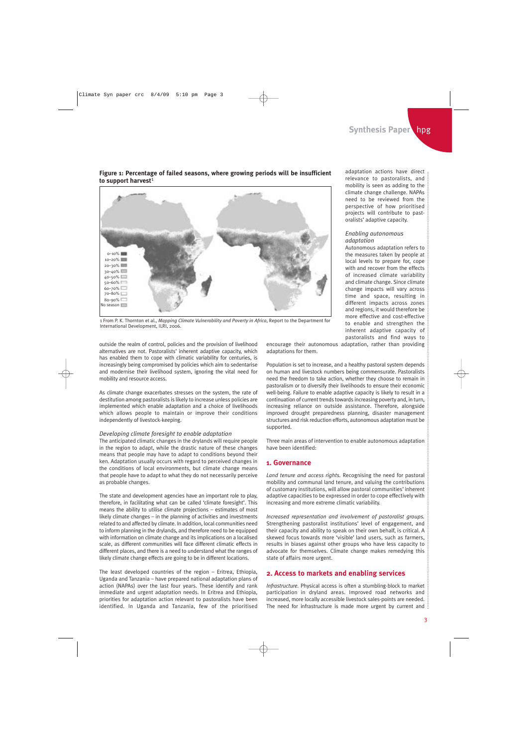#### **Figure 1: Percentage of failed seasons, where growing periods will be insufficient** to support harvest<sup>1</sup>



1 From P. K. Thornton et al., *Mapping Climate Vulnerability and Poverty in Africa*, Report to the Department for International Development, ILRI, 2006.

outside the realm of control, policies and the provision of livelihood alternatives are not. Pastoralists' inherent adaptive capacity, which has enabled them to cope with climatic variability for centuries, is increasingly being compromised by policies which aim to sedentarise and modernise their livelihood system, ignoring the vital need for mobility and resource access.

As climate change exacerbates stresses on the system, the rate of destitution among pastoralists is likely to increase unless policies are implemented which enable adaptation and a choice of livelihoods which allows people to maintain or improve their conditions independently of livestock-keeping.

#### *Developing climate foresight to enable adaptation*

The anticipated climatic changes in the drylands will require people in the region to adapt, while the drastic nature of these changes means that people may have to adapt to conditions beyond their ken. Adaptation usually occurs with regard to perceived changes in the conditions of local environments, but climate change means that people have to adapt to what they do not necessarily perceive as probable changes.

The state and development agencies have an important role to play, therefore, in facilitating what can be called 'climate foresight'. This means the ability to utilise climate projections – estimates of most likely climate changes – in the planning of activities and investments related to and affected by climate. In addition, local communities need to inform planning in the drylands, and therefore need to be equipped with information on climate change and its implications on a localised scale, as different communities will face different climatic effects in different places, and there is a need to understand what the ranges of likely climate change effects are going to be in different locations.

The least developed countries of the region – Eritrea, Ethiopia, Uganda and Tanzania – have prepared national adaptation plans of action (NAPAs) over the last four years. These identify and rank immediate and urgent adaptation needs. In Eritrea and Ethiopia, priorities for adaptation action relevant to pastoralists have been identified. In Uganda and Tanzania, few of the prioritised

encourage their autonomous adaptation, rather than providing adaptations for them.

Population is set to increase, and a healthy pastoral system depends on human and livestock numbers being commensurate. Pastoralists need the freedom to take action, whether they choose to remain in pastoralism or to diversify their livelihoods to ensure their economic well-being. Failure to enable adaptive capacity is likely to result in a continuation of current trends towards increasing poverty and, in turn, increasing reliance on outside assistance. Therefore, alongside improved drought preparedness planning, disaster management structures and risk reduction efforts, autonomous adaptation must be supported.

Three main areas of intervention to enable autonomous adaptation have been identified:

#### **1. Governance**

*Land tenure and access rights.* Recognising the need for pastoral mobility and communal land tenure, and valuing the contributions of customary institutions, will allow pastoral communities' inherent adaptive capacities to be expressed in order to cope effectively with increasing and more extreme climatic variability.

*Increased representation and involvement of pastoralist groups.* Strengthening pastoralist institutions' level of engagement, and their capacity and ability to speak on their own behalf, is critical. A skewed focus towards more 'visible' land users, such as farmers, results in biases against other groups who have less capacity to advocate for themselves. Climate change makes remedying this state of affairs more urgent.

#### **2. Access to markets and enabling services**

*Infrastructure.* Physical access is often a stumbling-block to market participation in dryland areas. Improved road networks and increased, more locally accessible livestock sales-points are needed. The need for infrastructure is made more urgent by current and  $\frac{1}{2}$ 

adaptation actions have direct relevance to pastoralists, and mobility is seen as adding to the climate change challenge. NAPAs need to be reviewed from the perspective of how prioritised projects will contribute to pastoralists' adaptive capacity.

#### *Enabling autonomous adaptation*

Autonomous adaptation refers to the measures taken by people at local levels to prepare for, cope with and recover from the effects of increased climate variability and climate change. Since climate change impacts will vary across time and space, resulting in different impacts across zones and regions, it would therefore be more effective and cost-effective to enable and strengthen the inherent adaptive capacity of pastoralists and find ways to